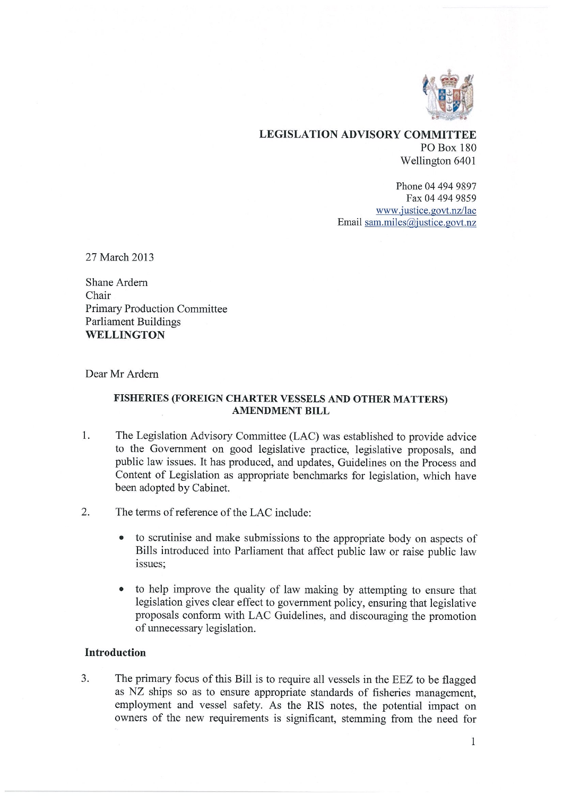

## LEGISLATION ADVISORY COMMITTEE PO Box 180 Wellington 6401

Phone 04 494 9897 Fax 04 494 9859 www.justice.govt.nz/lac Email sam.miles@justice.govt.nz

27 March 2013

Shane Ardem Chair Primary Production Committee Parliament Buildings WELLINGTON

Dear Mr Ardem

### FISHERIES (FOREIGN CHARTER VESSELS AND OTHER MATTERS) AMENDMENT BILL

- 1. The Legislation Advisory Committee (LAC) was established to provide advice to the Government on good legislative practice, legislative proposals, and public law issues. It has produced, and updates, Guidelines on the Process and Content of Legislation as appropriate benchmarks for legislation, which have been adopted by Cabinet.
- 2. The terms of reference of the LAC include:
	- to scrutinise and make submissions to the appropriate body on aspects of Bills introduced into Parliament that affect public law or raise public law issues:
	- to help improve the quality of law making by attempting to ensure that legislation gives clear effect to government policy, ensuring that legislative proposals conform with LAC Guidelines, and discouraging the promotion of unnecessary legislation.

### Introduction

3. The primary focus of this Bill is to require all vessels in the EEZ to be flagged as NZ ships so as to ensure appropriate standards of fisheries management, employment and vessel safety. As the RIS notes, the potential impact on owners of the new requirements is significant, stemming from the need for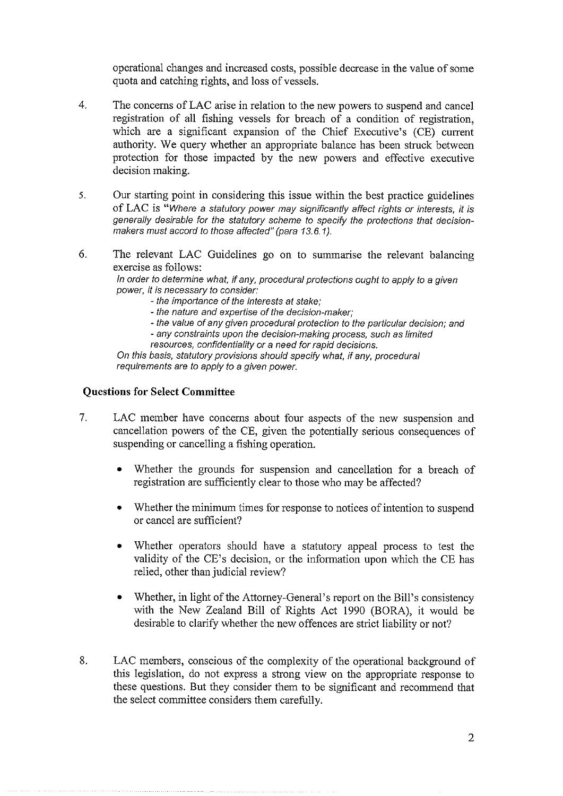operational changes and increased costs, possible decrease in the value of some quota and catching rights, and loss of vessels.

- $\overline{4}$ . The concerns of LAC arise in relation to the new powers to suspend and cancel registration of all fishing vessels for breach of a condition of registration, which are a significant expansion of the Chief Executive's (CE) current authority. We query whether an appropriate balance has been struck between protection for those impacted by the new powers and effective executive decision making.
- 5. Our starting point in considering this issue within the best practice guidelines of LAC is "Where a statutory power may significantly affect rights or interests, it is generally desirable for the statutory scheme to specify the protections that decisionmakers must accord to those affected" (pare 13.6.1).
- 6. The relevant LAC Guidelines go on to summarise the relevant balancing exercise as follows:

In order to determine what, if any, procedural protections ought to apply to a given power, it is necessary to consider:

- the importance of the interests at stake;
- the nature and expertise of the decision-maker;
- the value of any given procedural protection to the particular decision; and - any constraints upon the decision-making process, such as limited
- resources, confidentiality or a need for rapid decisions.

On this basis, statutory provisions should specify what, if any, procedural requirements are to apply to a given power.

#### Questions for Select Committee

- 7. LAC member have concerns about four aspects of the new suspension and cancellation powers of the CE, given the potentially serious consequences of suspending or cancelling a fishing operation.
	- Whether the grounds for suspension and cancellation for a breach of registration are sufficiently clear to those who may be affected?
	- Whether the minimum times for response to notices of intention to suspend or cancel are sufficient?
	- Whether operators should have a statutory appeal process to test the validity of the CE's decision, or the information upon which the CE has relied, other than judicial review?
	- Whether, in light of the Attorney-General's report on the Bill's consistency with the New Zealand Bill of Rights Act 1990 (BORA), it would be desirable to clarify whether the new offences are strict liability or not?
- 8. LAC members, conscious of the complexity of the operational background of this legislation, do not express a strong view on the appropriate response to these questions. But they consider them to be significant and recommend that the select committee considers them carefully.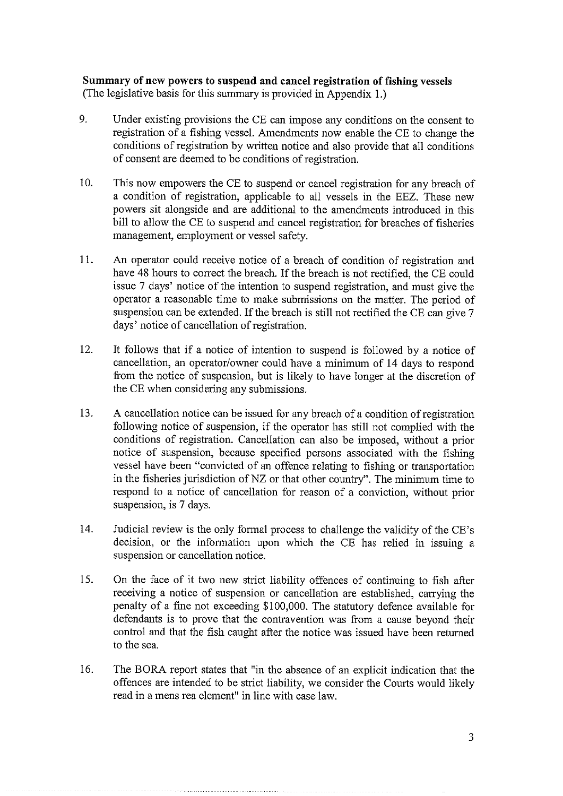**Summary of new powers to suspend and cancel registration of fishing vessels** (The legislative basis for this summary is provided in Appendix 1.)

- 9. Under existing provisions the CE can impose any conditions on the consent to registration of a fishing vessel. Amendments now enable the CE to change the conditions of registration by written notice and also provide that all conditions of consent are deemed to be conditions of registration.
- 10. This now empowers the CE to suspend or cancel registration for any breach of a condition of registration, applicable to all vessels in the EEZ. These new powers sit alongside and are additional to the amendments introduced in this bill to allow the CE to suspend and cancel registration for breaches of fisheries management, employment or vessel safety.
- 11. An operator could receive notice of a breach of condition of registration and have 48 hours to correct the breach. If the breach is not rectified, the CE could issue 7 days' notice of the intention to suspend registration, and must give the operator a reasonable time to make submissions on the matter. The period of suspension can be extended. If the breach is still not rectified the CE can give 7 days' notice of cancellation of registration.
- 12. It follows that if a notice of intention to suspend is followed by a notice of cancellation, an operator/owner could have a minimum of 14 days to respond from the notice of suspension, but is likely to have longer at the discretion of the CE when considering any submissions.
- 13. A cancellation notice can be issued for any breach of a condition of registration following notice of suspension, if the operator has still not complied with the conditions of registration. Cancellation can also be imposed, without a prior notice of suspension, because specified persons associated with the fishing vessel have been "convicted of an offence relating to fishing or transportation in the fisheries jurisdiction of NZ or that other country". The minimum time to respond to a notice of cancellation for reason of a conviction, without prior suspension, is 7 days.
- 14. Judicial review is the only formal process to challenge the validity of the CE's decision, or the information upon which the CE has relied in issuing a suspension or cancellation notice.
- 15. On the face of it two new strict liability offences of continuing to fish after receiving a notice of suspension or cancellation are established, carrying the penalty of a fine not exceeding 8100,000. The statutory defence available for defendants is to prove that the contravention was from a cause beyond their control and that the fish caught after the notice was issued have been returned to the sea.
- 16. The BORA report states that "in the absence of an explicit indication that the offences are intended to be strict liability, we consider the Courts would likely read in a mens rea element" in line with case law.

3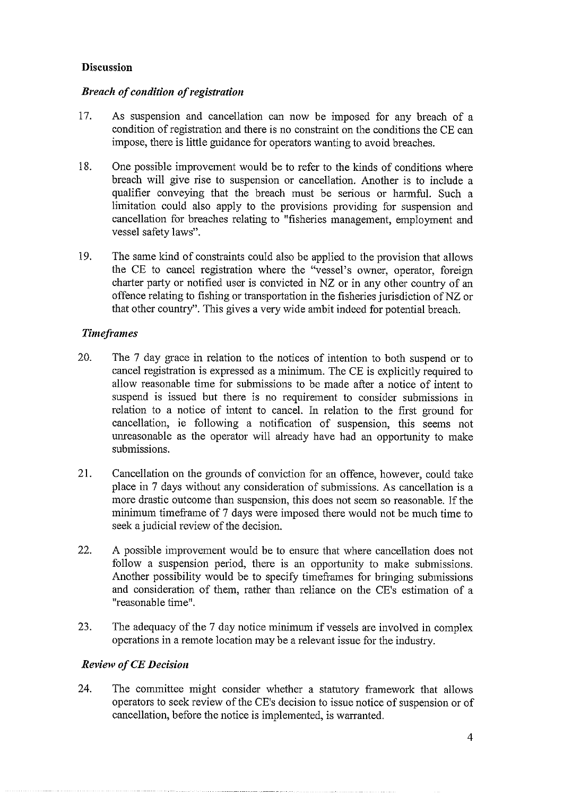## Discussion

# Breach of condition of registration

- 17. As suspension and cancellation can now be imposed for any breach of a condition of registration and there is no constraint on the conditions the CE can impose, there is little guidance for operators wanting to avoid breaches.
- 18. One possible improvement would be to refer to the kinds of conditions where breach will give rise to suspension or cancellation. Another is to include a qualifier conveying that the breach must be serious or harmful. Such a limitation could also apply to the provisions providing for suspension and cancellation for breaches relating to "fisheries management, employment and vessel safety laws".
- 19. The same kind of constraints could also be applied to the provision that allows the CE to cancel registration where the "vessel's owner, operator, foreign charter party or notified user is convicted in NZ or in any other country of an offence relating to fishing or transportation in the fisheries jurisdiction of NZ or that other country". This gives a very wide ambit indeed for potential breach.

# **Timeframes**

- 20. The 7 day grace in relation to the notices of intention to both suspend or to cancel registration is expressed as a minimum. The CE is explicitly required to allow reasonable time for submissions to be made after a notice of intent to suspend is issued but there is no requirement to consider submissions in relation to a notice of intent to cancel. In relation to the first ground for cancellation, ie following a notification of suspension, this seems not unreasonable as the operator will already have had an opportunity to make submissions.
- 21. Cancellation on the grounds of conviction for an offence, however, could take place in 7 days without any consideration of submissions. As cancellation is a more drastic outcome than suspension, this does not seem so reasonable. If the minimum timeframe of 7 days were imposed there would not be much time to seek a judicial review of the decision.
- 22. A possible improvement would be to ensure that where cancellation does not follow a suspension period, there is an opportunity to make submissions. Another possibility would be to specify timeframes for bringing submissions and consideration of them, rather than reliance on the CE's estimation of a "reasonable time".
- 23. The adequacy of the 7 day notice minimum if vessels are involved in complex operations in a remote location may be a relevant issue for the industry.

# Review of CE Decision

24. The committee might consider whether a statutory framework that allows operators to seek review of the CE's decision to issue notice of suspension or of cancellation, before the notice is implemented, is warranted.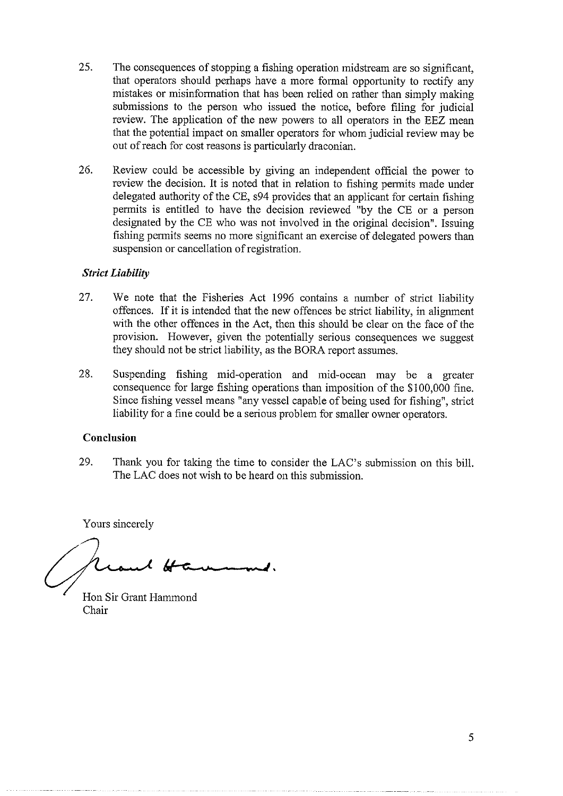- 25. The consequences of stopping a fishing operation midstream are so significant, that operators should perhaps have a more formal opportunity to rectify any mistakes or misinformation that has been relied on rather than simply making submissions to the person who issued the notice, before filing for judicial review. The application of the new powers to all operators in the EEZ mean that the potential impact on smaller operators for whom judicial review may be out of reach for cost reasons is particularly draconian.
- 26. Review could be accessible by giving an independent official the power to review the decision. It is noted that in relation to fishing permits made under delegated authority of the CE, 894 provides that an applicant for certain fishing permits is entitled to have the decision reviewed "by the CE or a person designated by the CE who was not involved in the original decision". Issuing fishing permits seems no more significant an exercise of delegated powers than suspension or cancellation of registration.

## Strict Liability

- 27. We note that the Fisheries Act 1996 contains a number of strict liability offences. If it is intended that the new offences be strict liability, in alignment with the other offences in the Act, then this should be clear on the face of the provision. However, given the potentially serious consequences we suggest they should not be strict liability, as the BORA report assumes.
- 28. Suspending fishing mid-operation and mid-ocean may be a greater consequence for large fishing operations than imposition of the 8100,000 fine. Since fishing vessel means "any vessel capable of being used for fishing", strict liability for a fine could be a serious problem for smaller owner operators.

### Conclusion

29. Thank you for taking the time to consider the LAC's submission on this bill. The LAC does not wish to be heard on this submission.

Yours sincerely

Hon Sir Grant Hammond Chair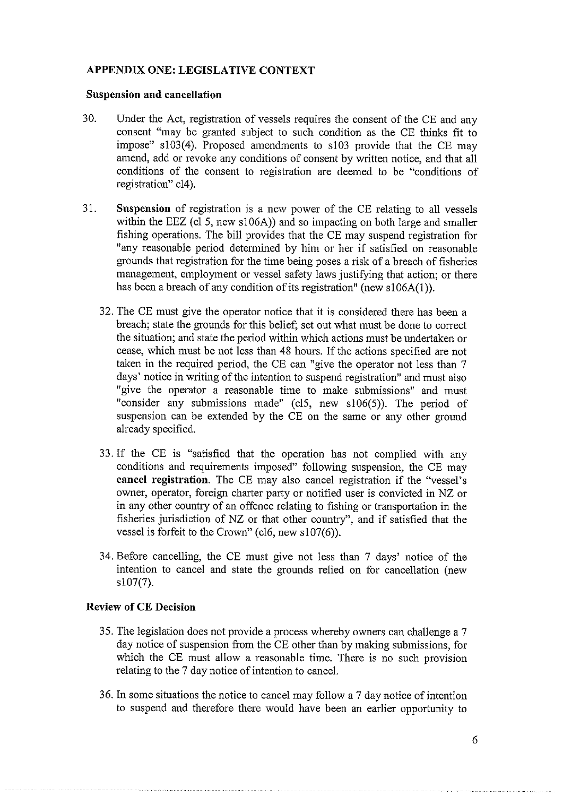## APPENDIX ONE: LEGISLATIVE CONTEXT

### Suspension and cancellation

- 30. Under the Act, registration of vessels requires the consent of the CE and any consent "may be granted subject to such condition as the CE thinks fit to impose" 5103(4). Proposed amendments to s103 provide that the CE may amend, add or revoke any conditions of consent by written notice, and that all conditions of the consent to registration are deemed to be "conditions of registration" c14).
- 31. Suspension of registration is a new power of the CE relating to all vessels within the EEZ (cl 5, new s106A)) and so impacting on both large and smaller fishing operations. The bill provides that the CE may suspend registration for "any reasonable period determined by him or her if satisfied on reasonable grounds that registration for the time being poses a risk of a breach of fisheries management, employment or vessel safety laws justifying that action; or there has been a breach of any condition of its registration" (new s106A(1)).
	- 32. The CE must give the operator notice that it is considered there has been a breach; state the grounds for this belief; set out what must be done to correct the situation; and state the period within which actions must be undertaken or cease, which must be not less than 48 hours. If the actions specified are not taken in the required period, the CE can "give the operator not less than 7 days' notice in writing of the intention to suspend registration" and must also "give the operator a reasonable time to make submissions" and must "consider any submissions made" (c15, new s106(5)). The period of suspension can be extended by the CE on the same or any other ground already specified.
	- 33. If the CE is "satisfied that the operation has not complied with any conditions and requirements imposed" following suspension, the CE may cancel registration. The CE may also cancel registration if the "vessel's owner, operator, foreign charter party or notified user is convicted in NZ or in any other country of an offence relating to fishing or transportation in the fisheries jurisdiction of NZ or that other country", and if satisfied that the vessel is forfeit to the Crown" (c16, new s107(6)).
	- 34. Before cancelling, the CE must give not less than 7 days' notice of the intention to cancel and state the grounds relied on for cancellation (new s107(7).

## Review of CE Decision

- 35. The legislation does not provide a process whereby owners can challenge a 7 day notice of suspension from the CE other than by making submissions, for which the CE must allow a reasonable time. There is no such provision relating to the 7 day notice of intention to cancel.
- 36. In some situations the notice to cancel may follow a 7 day notice of intention to suspend and therefore there would have been an earlier opportunity to